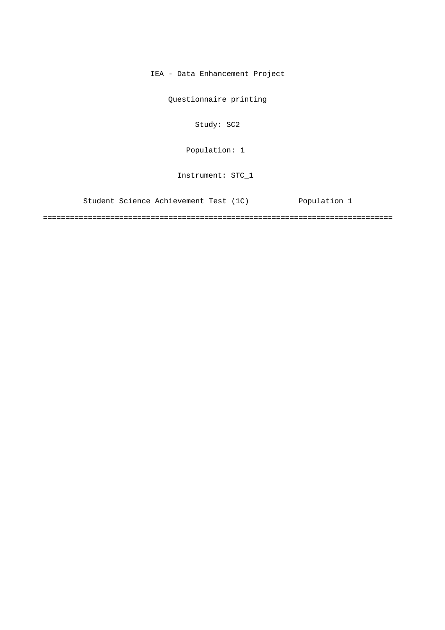IEA - Data Enhancement Project

Questionnaire printing

Study: SC2

Population: 1

Instrument: STC\_1

Student Science Achievement Test (1C) Population 1

==============================================================================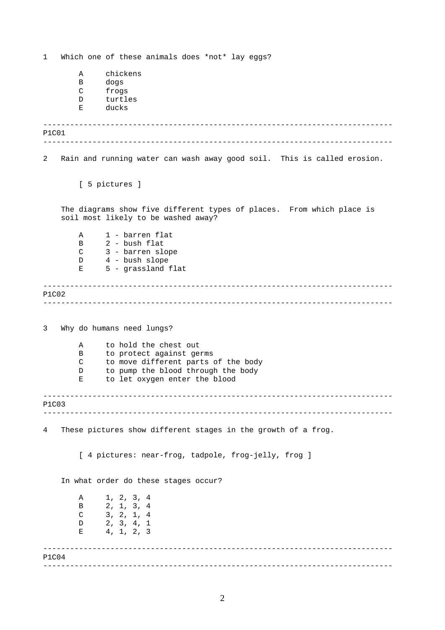------------------------------------------------------------------------------ ------------------------------------------------------------------------------ ------------------------------------------------------------------------------ ------------------------------------------------------------------------------ ------------------------------------------------------------------------------ ------------------------------------------------------------------------------ ------------------------------------------------------------------------------ ------------------------------------------------------------------------------ 1 Which one of these animals does \*not\* lay eggs? A chickens B dogs C frogs D turtles E ducks P1C01 2 Rain and running water can wash away good soil. This is called erosion. [ 5 pictures ] The diagrams show five different types of places. From which place is soil most likely to be washed away? A 1 - barren flat B 2 - bush flat C 3 - barren slope D 4 - bush slope E 5 - grassland flat P1C02 3 Why do humans need lungs? A to hold the chest out B to protect against germs C to move different parts of the body D to pump the blood through the body E to let oxygen enter the blood P1C03 4 These pictures show different stages in the growth of a frog. [ 4 pictures: near-frog, tadpole, frog-jelly, frog ] In what order do these stages occur? A 1, 2, 3, 4 B 2, 1, 3, 4 C 3, 2, 1, 4 D 2, 3, 4, 1  $E$  4, 1, 2, 3 P1C04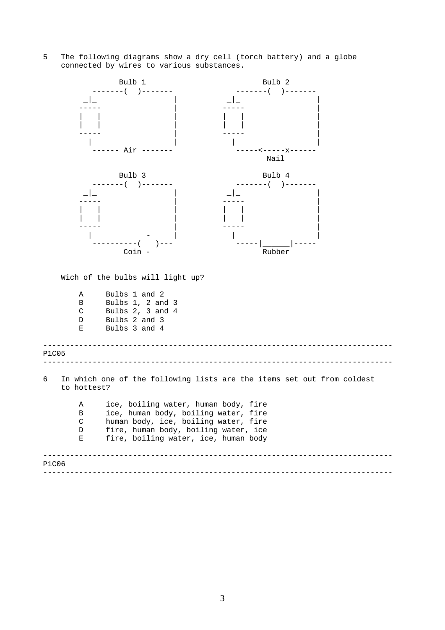5 The following diagrams show a dry cell (torch battery) and a globe connected by wires to various substances.